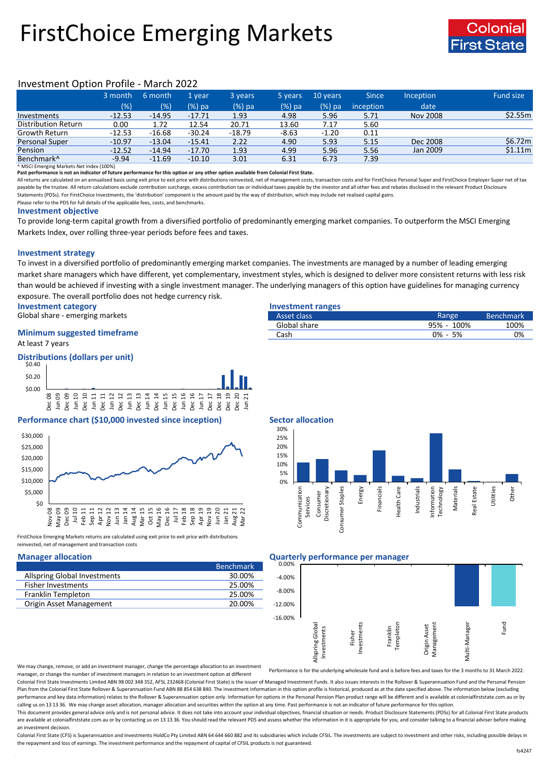# FirstChoice Emerging Markets



# Investment Option Profile - March 2022

|                            | 3 month  | 6 month  | 1 vear   | 3 years  | 5 years | 10 years | <b>Since</b> | Inception       | <b>Fund size</b> |
|----------------------------|----------|----------|----------|----------|---------|----------|--------------|-----------------|------------------|
|                            | (%)      | (% )     | $(%)$ pa | (%) pa   | (%) pa  | $(%)$ pa | inception    | date            |                  |
| Investments                | $-12.53$ | $-14.95$ | $-17.71$ | 1.93     | 4.98    | 5.96     | 5.71         | <b>Nov 2008</b> | \$2.55m          |
| <b>Distribution Return</b> | 0.00     | 1.72     | 12.54    | 20.71    | 13.60   | 7.17     | 5.60         |                 |                  |
| Growth Return              | $-12.53$ | $-16.68$ | $-30.24$ | $-18.79$ | $-8.63$ | $-1.20$  | 0.11         |                 |                  |
| Personal Super             | $-10.97$ | $-13.04$ | $-15.41$ | 2.22     | 4.90    | 5.93     | 5.15         | Dec 2008        | \$6.72m\$        |
| Pension                    | $-12.52$ | $-14.94$ | $-17.70$ | 1.93     | 4.99    | 5.96     | 5.56         | Jan 2009        | \$1.11m          |
| Benchmark <sup>^</sup>     | $-9.94$  | $-11.69$ | $-10.10$ | 3.01     | 6.31    | 6.73     | 7.39         |                 |                  |

^ MSCI Emerging Markets Net Index (100%)

**Past performance is not an indicator of future performance for this option or any other option available from Colonial First State.**

All returns are calculated on an annualised basis using exit price to exit price with distributions reinvested, net of management costs, transaction costs and for FirstChoice Personal Super and FirstChoice Employer Super n payable by the trustee. All return calculations exclude contribution surcharge, excess contribution tax or individual taxes payable by the investor and all other fees and rebates disclosed in the relevant Product Disclosur Statements (PDSs). For FirstChoice Investments, the 'distribution' component is the amount paid by the way of distribution, which may include net realised capital gains.

Please refer to the PDS for full details of the applicable fees, costs, and benchmarks.

#### **Investment objective**

To provide long-term capital growth from a diversified portfolio of predominantly emerging market companies. To outperform the MSCI Emerging Markets Index, over rolling three-year periods before fees and taxes.

## **Investment strategy**

To invest in a diversified portfolio of predominantly emerging market companies. The investments are managed by a number of leading emerging market share managers which have different, yet complementary, investment styles, which is designed to deliver more consistent returns with less risk than would be achieved if investing with a single investment manager. The underlying managers of this option have guidelines for managing currency exposure. The overall portfolio does not hedge currency risk.

> Dec 20 Jun 21

**Investment category Investment ranges**

Global share - emerging markets

## At least 7 years **Minimum suggested timeframe**







Dec 08 Jun 09 Dec 09 Jun 10 Dec 10 Jun 11 Dec 11 Jun 12 Dec 12 Jun 13 Dec 13 Jun 14 Dec 14 Jun 15 Dec 15 Jun 16 Dec 16 Jun 17 Dec 17 Dec 18 Dec 19

FirstChoice Emerging Markets returns are calculated using exit price to exit price with distributions reinvested, net of management and transaction costs

|                                     | 'Benchmark |
|-------------------------------------|------------|
| <b>Allspring Global Investments</b> | 30.00%     |
| <b>Fisher Investments</b>           | 25.00%     |
| Franklin Templeton                  | 25.00%     |
| Origin Asset Management             | 20.00%     |
|                                     |            |

Services Consumer

| Asset class  | Range       | <b>Benchmark</b> |
|--------------|-------------|------------------|
| Global share | 95% - 100%  | 100%             |
| Cash         | $0\% - 5\%$ | 0%               |



# **Manager allocation Quarterly performance per manager**



We may change, remove, or add an investment manager, change the percentage allocation to an investment manager, or change the number of investment managers in relation to an investment option at different

Performance is for the underlying wholesale fund and is before fees and taxes for the 3 months to 31 March 2022.

Colonial First State Investments Limited ABN 98 002 348 352, AFSL 232468 (Colonial First State) is the issuer of Managed Investment Funds. It also issues interests in the Rollover & Superannuation Fund and the Personal Pen Plan from the Colonial First State Rollover & Superannuation Fund ABN 88 854 638 840. The investment information in this option profile is historical, produced as at the date specified above. The information below (excludi performance and key data information) relates to the Rollover & Superannuation option only. Information for options in the Personal Pension Plan product range will be different and is available at colonialfirststate.com.au calling us on 13 13 36. We may change asset allocation, manager allocation and securities within the option at any time. Past performance is not an indicator of future performance for this option

This document provides general advice only and is not personal advice. It does not take into account your individual objectives, financial situation or needs. Product Disclosure Statements (PDSs) for all Colonial First Sta are available at colonialfirststate.com.au or by contacting us on 13 13 36. You should read the relevant PDS and assess whether the information in it is appropriate for you, and consider talking to a financial adviser befo an investment decision.

Colonial First State (CFS) is Superannuation and Investments HoldCo Ptv Limited ABN 64 644 660 882 and its subsidiaries which include CFSIL. The investments are subject to investment and other risks, including possible del the repayment and loss of earnings. The investment performance and the repayment of capital of CFSIL products is not guaranteed.

Utilities

Other